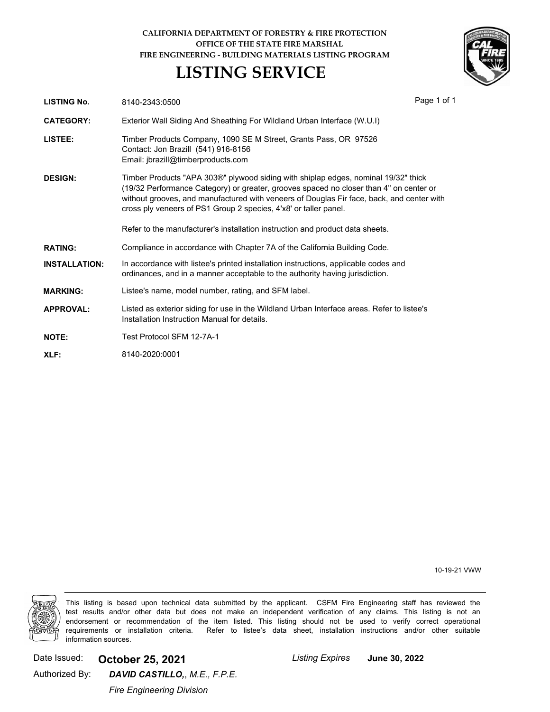## **CALIFORNIA DEPARTMENT OF FORESTRY & FIRE PROTECTION OFFICE OF THE STATE FIRE MARSHAL FIRE ENGINEERING - BUILDING MATERIALS LISTING PROGRAM**

## **LISTING SERVICE**



| LISTING No.          | 8140-2343:0500                                                                                                                                                                                                                                                                                                                                | Page 1 of 1 |
|----------------------|-----------------------------------------------------------------------------------------------------------------------------------------------------------------------------------------------------------------------------------------------------------------------------------------------------------------------------------------------|-------------|
| <b>CATEGORY:</b>     | Exterior Wall Siding And Sheathing For Wildland Urban Interface (W.U.I)                                                                                                                                                                                                                                                                       |             |
| LISTEE:              | Timber Products Company, 1090 SE M Street, Grants Pass, OR 97526<br>Contact: Jon Brazill (541) 916-8156<br>Email: jbrazill@timberproducts.com                                                                                                                                                                                                 |             |
| <b>DESIGN:</b>       | Timber Products "APA 303®" plywood siding with shiplap edges, nominal 19/32" thick<br>(19/32 Performance Category) or greater, grooves spaced no closer than 4" on center or<br>without grooves, and manufactured with veneers of Douglas Fir face, back, and center with<br>cross ply veneers of PS1 Group 2 species, 4'x8' or taller panel. |             |
|                      | Refer to the manufacturer's installation instruction and product data sheets.                                                                                                                                                                                                                                                                 |             |
| <b>RATING:</b>       | Compliance in accordance with Chapter 7A of the California Building Code.                                                                                                                                                                                                                                                                     |             |
| <b>INSTALLATION:</b> | In accordance with listee's printed installation instructions, applicable codes and<br>ordinances, and in a manner acceptable to the authority having jurisdiction.                                                                                                                                                                           |             |
| <b>MARKING:</b>      | Listee's name, model number, rating, and SFM label.                                                                                                                                                                                                                                                                                           |             |
| <b>APPROVAL:</b>     | Listed as exterior siding for use in the Wildland Urban Interface areas. Refer to listee's<br>Installation Instruction Manual for details.                                                                                                                                                                                                    |             |
| <b>NOTE:</b>         | Test Protocol SFM 12-7A-1                                                                                                                                                                                                                                                                                                                     |             |
| XLF:                 | 8140-2020:0001                                                                                                                                                                                                                                                                                                                                |             |
|                      |                                                                                                                                                                                                                                                                                                                                               |             |

10-19-21 VWW



This listing is based upon technical data submitted by the applicant. CSFM Fire Engineering staff has reviewed the test results and/or other data but does not make an independent verification of any claims. This listing is not an endorsement or recommendation of the item listed. This listing should not be used to verify correct operational requirements or installation criteria. Refer to listee's data sheet, installation instructions and/or other suitable information sources.

Date Issued: **October 25, 2021** *Listing Expires*

**June 30, 2022**

Authorized By:

*Fire Engineering Division*

*DAVID CASTILLO,*, *M.E., F.P.E.*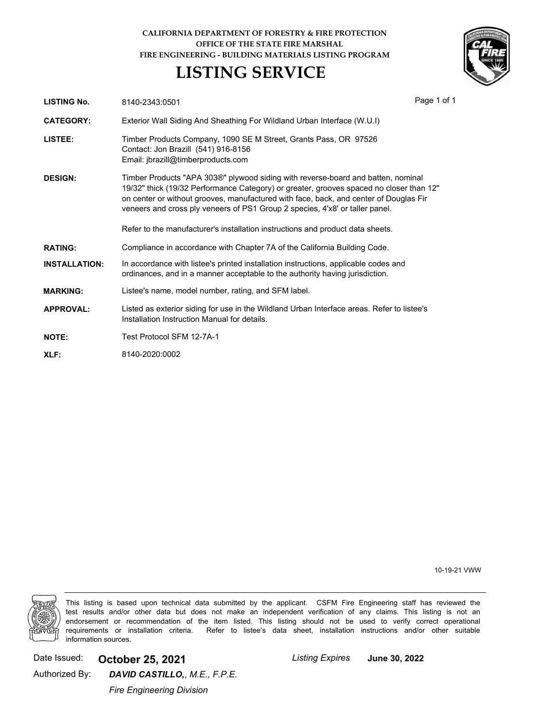## **CALIFORNIA DEPARTMENT OF FORESTRY & FIRE PROTECTION OFFICE OF THE STATE FIRE MARSHAL FIRE ENGINEERING - BUILDING MATERIALS LISTING PROGRAM**

## **LISTING SERVICE**



| <b>LISTING No.</b>   | 8140-2343:0501                                                                                                                                                                                                                                                                                                                                       | Page 1 of 1 |
|----------------------|------------------------------------------------------------------------------------------------------------------------------------------------------------------------------------------------------------------------------------------------------------------------------------------------------------------------------------------------------|-------------|
| <b>CATEGORY:</b>     | Exterior Wall Siding And Sheathing For Wildland Urban Interface (W.U.I)                                                                                                                                                                                                                                                                              |             |
| LISTEE:              | Timber Products Company, 1090 SE M Street, Grants Pass, OR 97526<br>Contact: Jon Brazill (541) 916-8156<br>Email: jbrazill@timberproducts.com                                                                                                                                                                                                        |             |
| <b>DESIGN:</b>       | Timber Products "APA 303®" plywood siding with reverse-board and batten, nominal<br>19/32" thick (19/32 Performance Category) or greater, grooves spaced no closer than 12"<br>on center or without grooves, manufactured with face, back, and center of Douglas Fir<br>veneers and cross ply veneers of PS1 Group 2 species, 4'x8' or taller panel. |             |
|                      | Refer to the manufacturer's installation instructions and product data sheets.                                                                                                                                                                                                                                                                       |             |
| <b>RATING:</b>       | Compliance in accordance with Chapter 7A of the California Building Code.                                                                                                                                                                                                                                                                            |             |
| <b>INSTALLATION:</b> | In accordance with listee's printed installation instructions, applicable codes and<br>ordinances, and in a manner acceptable to the authority having jurisdiction.                                                                                                                                                                                  |             |
| <b>MARKING:</b>      | Listee's name, model number, rating, and SFM label.                                                                                                                                                                                                                                                                                                  |             |
| <b>APPROVAL:</b>     | Listed as exterior siding for use in the Wildland Urban Interface areas. Refer to listee's<br>Installation Instruction Manual for details.                                                                                                                                                                                                           |             |
| <b>NOTE:</b>         | Test Protocol SFM 12-7A-1                                                                                                                                                                                                                                                                                                                            |             |
| XLF:                 | 8140-2020:0002                                                                                                                                                                                                                                                                                                                                       |             |

10-19-21 VWW



This listing is based upon technical data submitted by the applicant. CSFM Fire Engineering staff has reviewed the test results and/or other data but does not make an independent verification of any claims. This listing is not an endorsement or recommendation of the item listed. This listing should not be used to verify correct operational requirements or installation criteria. Refer to listee's data sheet, installation instructions and/or other suitable information sources.

Date Issued: **October 25, 2021** *Listing Expires*

**June 30, 2022**

Authorized By:

*Fire Engineering Division*

*DAVID CASTILLO,*, *M.E., F.P.E.*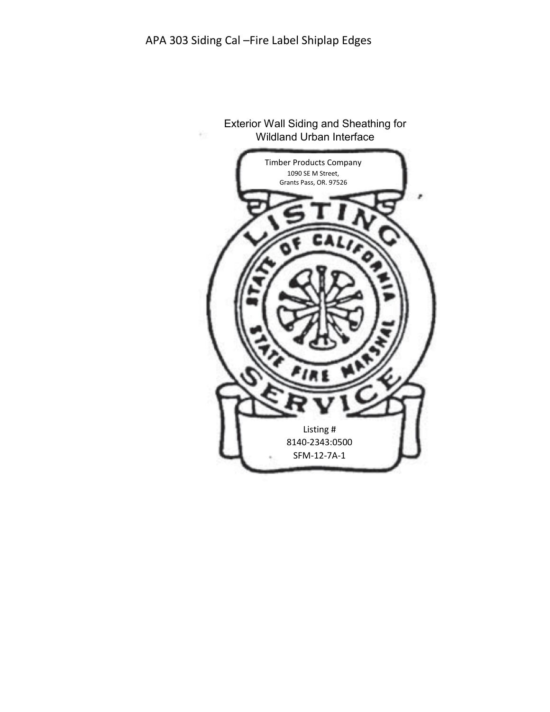